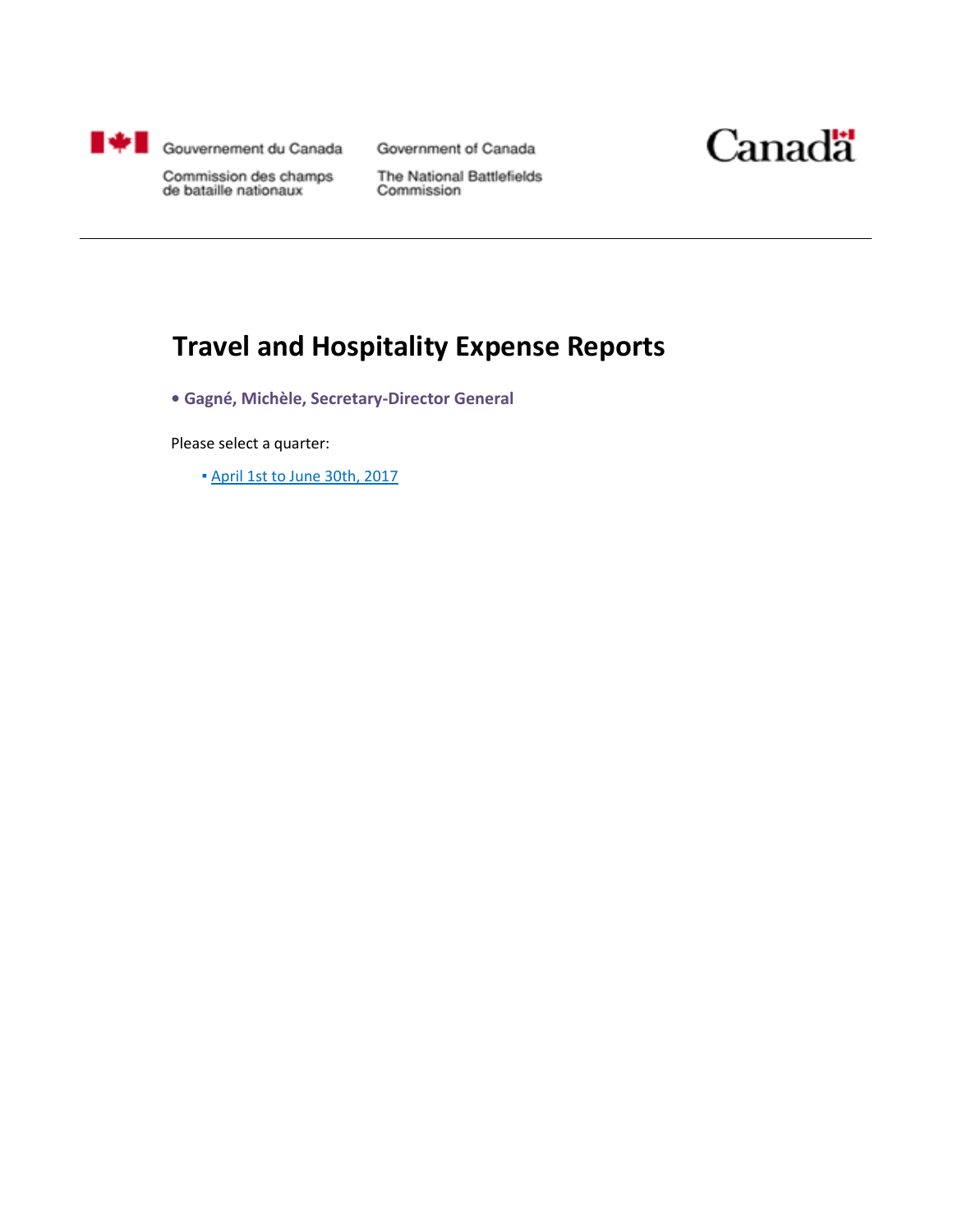

Government of Canada



Commission des champs de bataille nationaux

The National Battlefields Commission

### **Travel and Hospitality Expense Reports**

**• Gagné, Michèle, Secretary-Director General**

Please select a quarter:

▪ April 1st to June 30th, 2017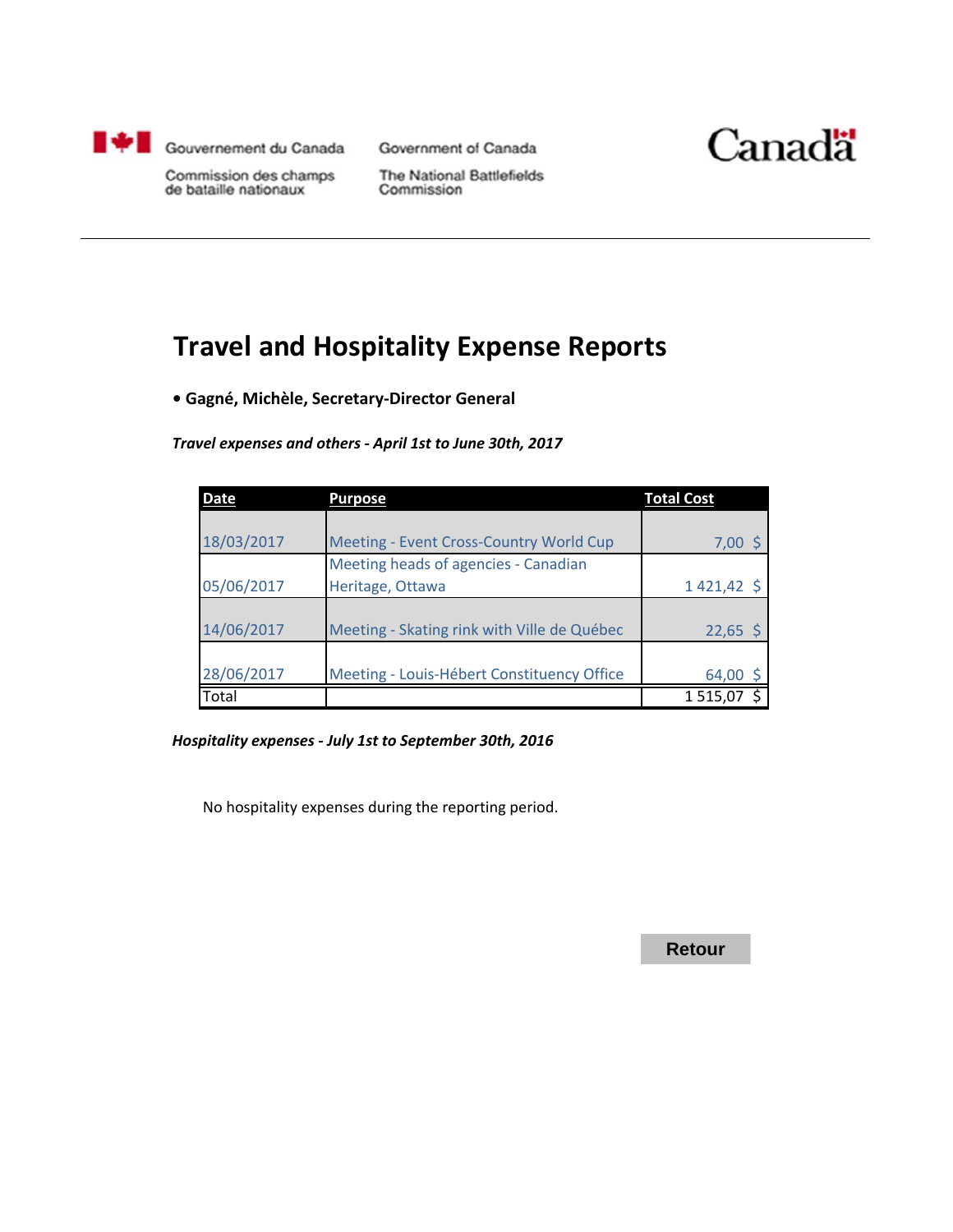

Government of Canada



Commission des champs de bataille nationaux

The National Battlefields Commission

### **Travel and Hospitality Expense Reports**

**• Gagné, Michèle, Secretary-Director General**

*Travel expenses and others - April 1st to June 30th, 2017*

| <b>Date</b> | <b>Purpose</b>                              | <b>Total Cost</b> |
|-------------|---------------------------------------------|-------------------|
|             |                                             |                   |
| 18/03/2017  | Meeting - Event Cross-Country World Cup     | $7,00$ \$         |
|             | Meeting heads of agencies - Canadian        |                   |
| 05/06/2017  | Heritage, Ottawa                            | $1421,42$ \$      |
|             |                                             |                   |
| 14/06/2017  | Meeting - Skating rink with Ville de Québec | $22,65$ \$        |
|             |                                             |                   |
| 28/06/2017  | Meeting - Louis-Hébert Constituency Office  | 64,00             |
| Total       |                                             | 1515,07           |

*Hospitality expenses - July 1st to September 30th, 2016*

No hospitality expenses during the reporting period.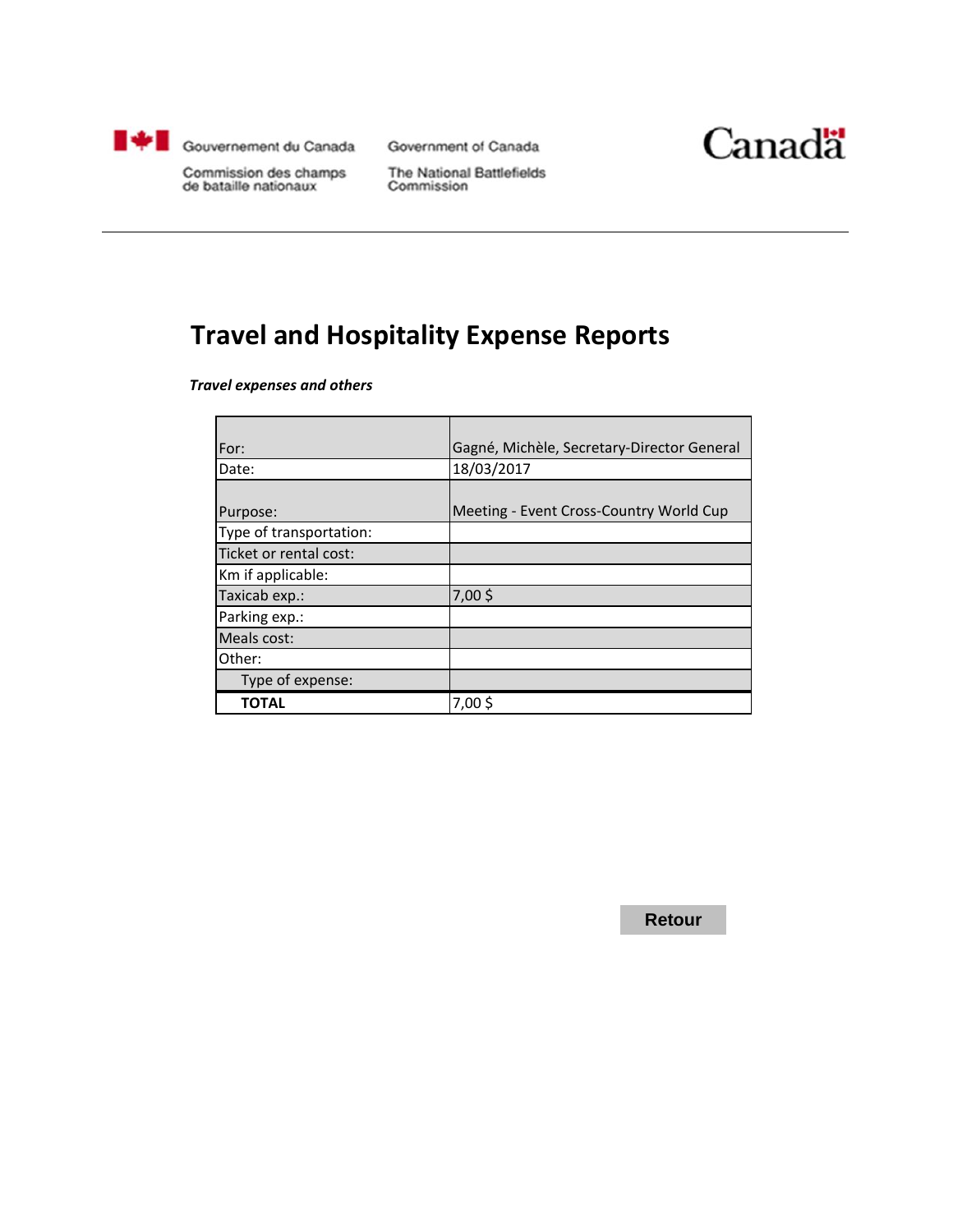

Government of Canada



Commission des champs de bataille nationaux

The National Battlefields Commission

# **Travel and Hospitality Expense Reports**

*Travel expenses and others*

| For:                    | Gagné, Michèle, Secretary-Director General |
|-------------------------|--------------------------------------------|
| Date:                   | 18/03/2017                                 |
|                         |                                            |
| Purpose:                | Meeting - Event Cross-Country World Cup    |
| Type of transportation: |                                            |
| Ticket or rental cost:  |                                            |
| Km if applicable:       |                                            |
| Taxicab exp.:           | 7,00\$                                     |
| Parking exp.:           |                                            |
| Meals cost:             |                                            |
| Other:                  |                                            |
| Type of expense:        |                                            |
| TOTAL                   | 7,00\$                                     |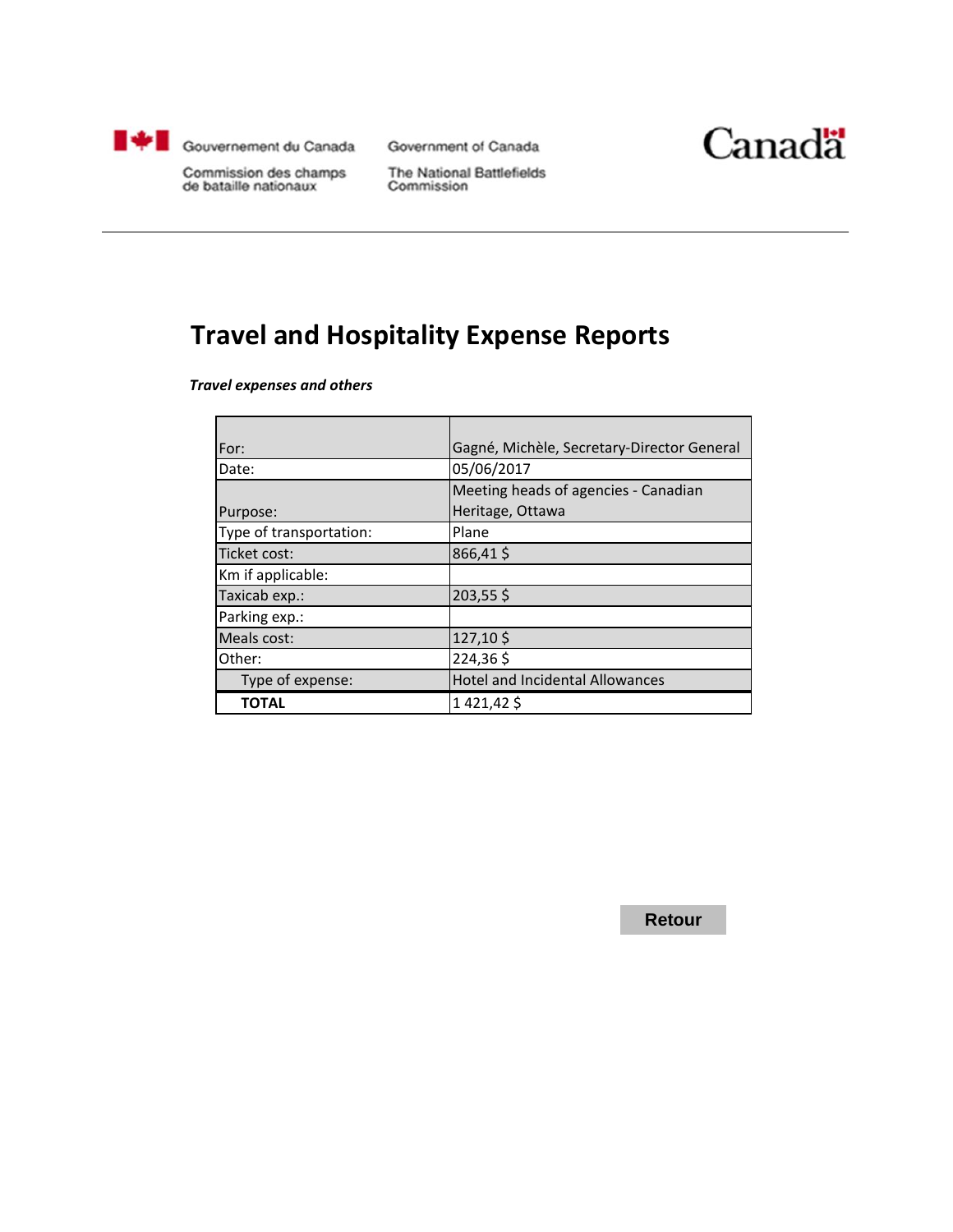

Government of Canada



Commission des champs de bataille nationaux

The National Battlefields Commission

### **Travel and Hospitality Expense Reports**

*Travel expenses and others*

| For:                    | Gagné, Michèle, Secretary-Director General |
|-------------------------|--------------------------------------------|
| Date:                   | 05/06/2017                                 |
|                         | Meeting heads of agencies - Canadian       |
| Purpose:                | Heritage, Ottawa                           |
| Type of transportation: | Plane                                      |
| Ticket cost:            | 866,41\$                                   |
| Km if applicable:       |                                            |
| Taxicab exp.:           | 203,55\$                                   |
| Parking exp.:           |                                            |
| Meals cost:             | 127,10\$                                   |
| Other:                  | 224,36\$                                   |
| Type of expense:        | <b>Hotel and Incidental Allowances</b>     |
| ΤΟΤΑL                   | 1421,42\$                                  |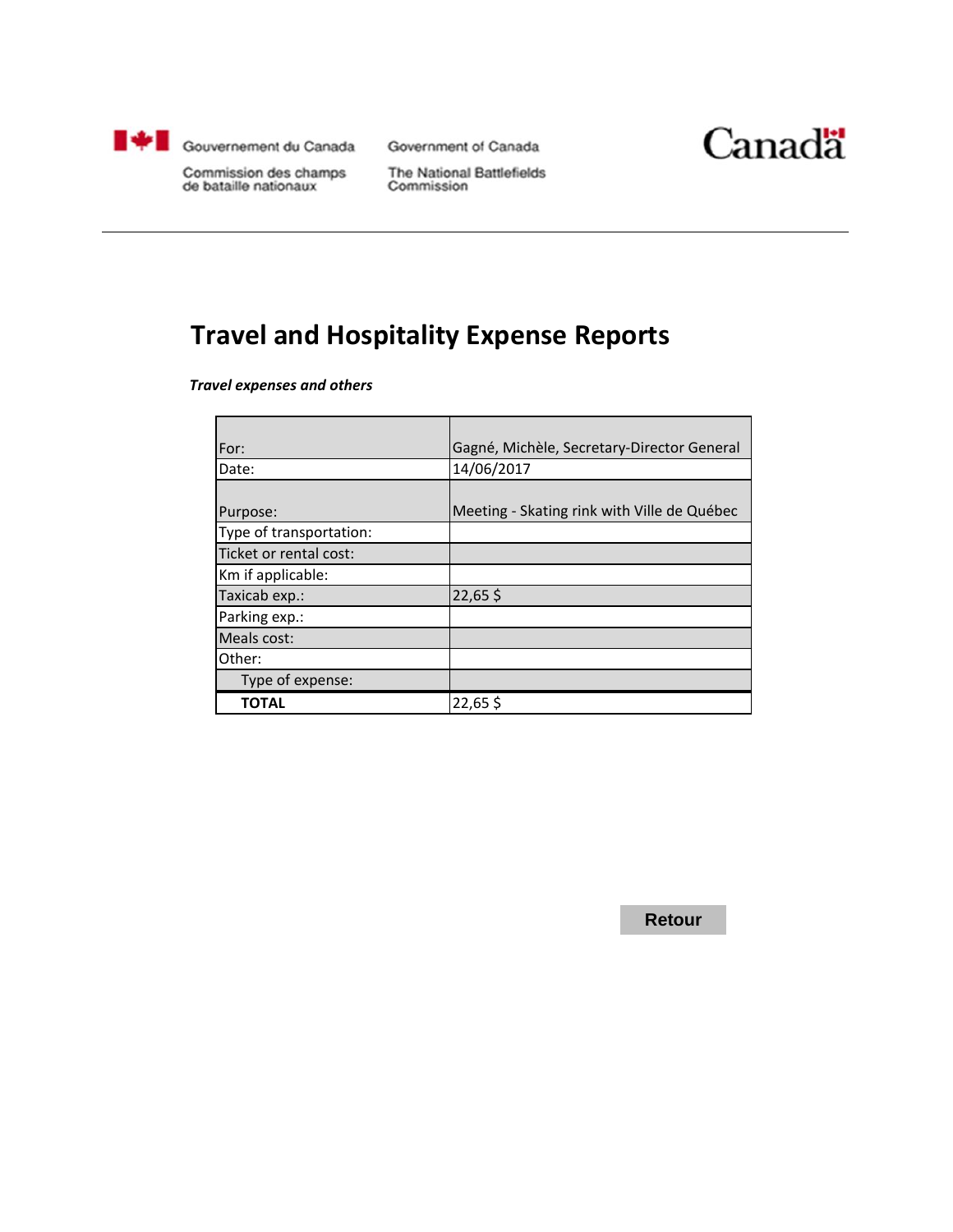

Government of Canada



Commission des champs de bataille nationaux

The National Battlefields Commission

# **Travel and Hospitality Expense Reports**

*Travel expenses and others*

| For:                    | Gagné, Michèle, Secretary-Director General  |
|-------------------------|---------------------------------------------|
| Date:                   | 14/06/2017                                  |
|                         |                                             |
| Purpose:                | Meeting - Skating rink with Ville de Québec |
| Type of transportation: |                                             |
| Ticket or rental cost:  |                                             |
| Km if applicable:       |                                             |
| Taxicab exp.:           | 22,65\$                                     |
| Parking exp.:           |                                             |
| Meals cost:             |                                             |
| Other:                  |                                             |
| Type of expense:        |                                             |
| TOTAL                   | 22,65\$                                     |